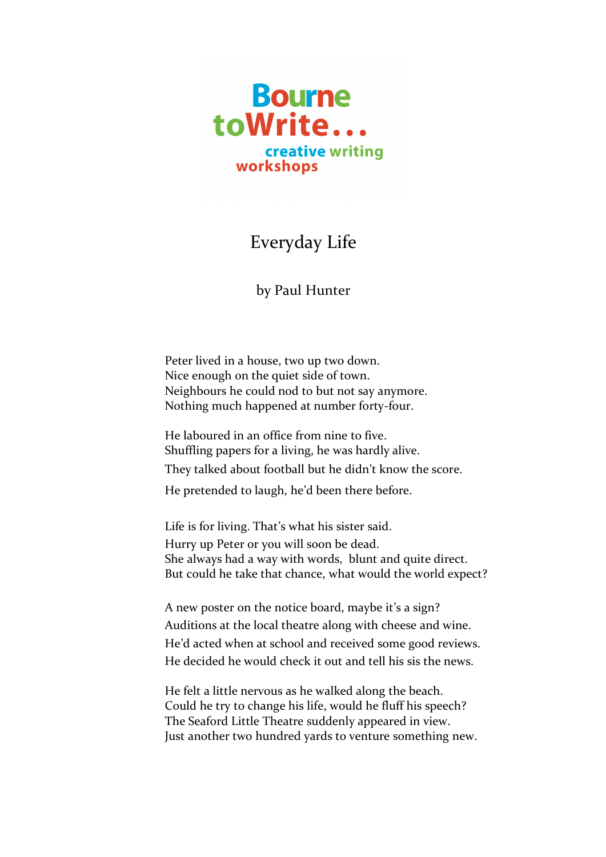

## Everyday Life

## by Paul Hunter

Peter lived in a house, two up two down. Nice enough on the quiet side of town. Neighbours he could nod to but not say anymore. Nothing much happened at number forty-four.

He laboured in an office from nine to five. Shuffling papers for a living, he was hardly alive. They talked about football but he didn't know the score.

He pretended to laugh, he'd been there before.

Life is for living. That's what his sister said. Hurry up Peter or you will soon be dead. She always had a way with words, blunt and quite direct. But could he take that chance, what would the world expect?

A new poster on the notice board, maybe it's a sign? Auditions at the local theatre along with cheese and wine. He'd acted when at school and received some good reviews. He decided he would check it out and tell his sis the news.

He felt a little nervous as he walked along the beach. Could he try to change his life, would he fluff his speech? The Seaford Little Theatre suddenly appeared in view. Just another two hundred yards to venture something new.